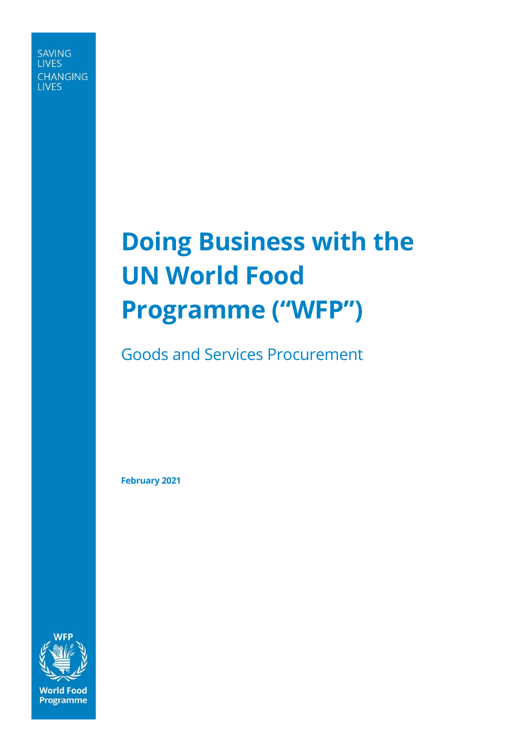**SAVING LIVES CHANGING LIVES** 

# **Doing Business with the UN World Food Programme ("WFP")**

Goods and Services Procurement

**February 2021**

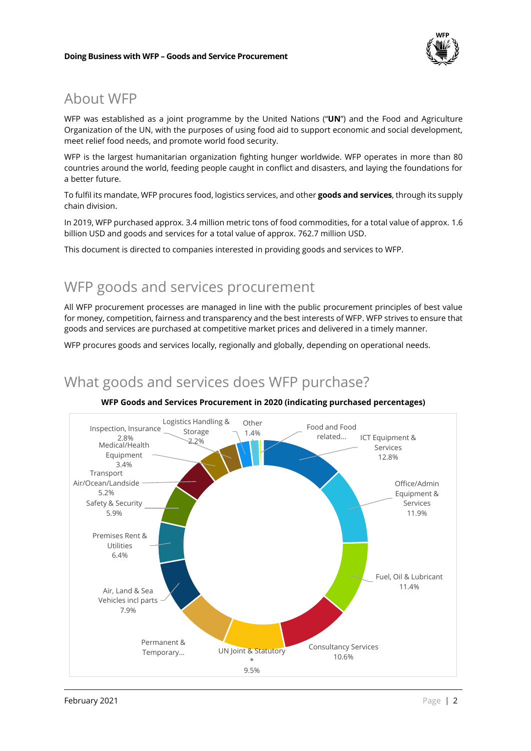

### About WFP

WFP was established as a joint programme by the United Nations ("**UN**") and the Food and Agriculture Organization of the UN, with the purposes of using food aid to support economic and social development, meet relief food needs, and promote world food security.

WFP is the largest humanitarian organization fighting hunger worldwide. WFP operates in more than 80 countries around the world, feeding people caught in conflict and disasters, and laying the foundations for a better future.

To fulfil its mandate, WFP procures food, logistics services, and other **goods and services**, through its supply chain division.

In 2019, WFP purchased approx. 3.4 million metric tons of food commodities, for a total value of approx. 1.6 billion USD and goods and services for a total value of approx. 762.7 million USD.

This document is directed to companies interested in providing goods and services to WFP.

## WFP goods and services procurement

All WFP procurement processes are managed in line with the public procurement principles of best value for money, competition, fairness and transparency and the best interests of WFP. WFP strives to ensure that goods and services are purchased at competitive market prices and delivered in a timely manner.

WFP procures goods and services locally, regionally and globally, depending on operational needs.

What goods and services does WFP purchase?



#### **WFP Goods and Services Procurement in 2020 (indicating purchased percentages)**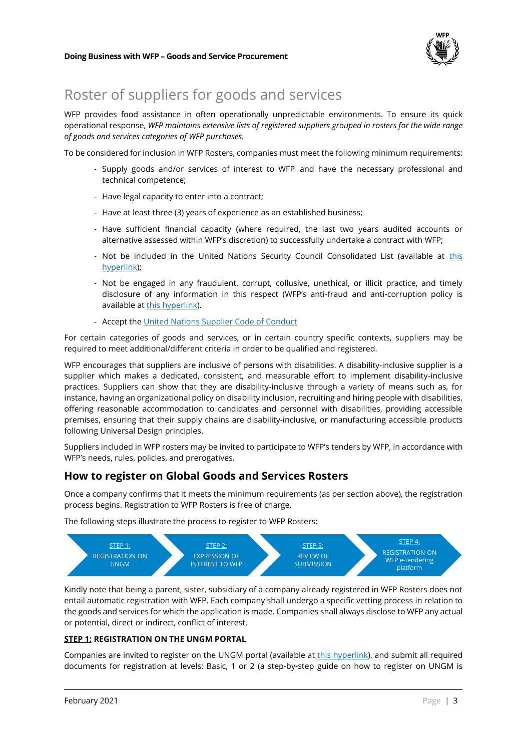

# Roster of suppliers for goods and services

WFP provides food assistance in often operationally unpredictable environments. To ensure its quick operational response, *WFP maintains extensive lists of registered suppliers grouped in rosters for the wide range of goods and services categories of WFP purchases.*

To be considered for inclusion in WFP Rosters, companies must meet the following minimum requirements:

- Supply goods and/or services of interest to WFP and have the necessary professional and technical competence;
- Have legal capacity to enter into a contract;
- Have at least three (3) years of experience as an established business;
- Have sufficient financial capacity (where required, the last two years audited accounts or alternative assessed within WFP's discretion) to successfully undertake a contract with WFP;
- Not be included in the United Nations Security Council Consolidated List (available at this hyperlink);
- Not be engaged in any fraudulent, corrupt, collusive, unethical, or illicit practice, and timely disclosure of any information in this respect (WFP's anti-fraud and anti-corruption policy is available at this hyperlink).
- Accept the United Nations Supplier Code of Conduct

For certain categories of goods and services, or in certain country specific contexts, suppliers may be required to meet additional/different criteria in order to be qualified and registered.

WFP encourages that suppliers are inclusive of persons with disabilities. A disability-inclusive supplier is a supplier which makes a dedicated, consistent, and measurable effort to implement disability-inclusive practices. Suppliers can show that they are disability-inclusive through a variety of means such as, for instance, having an organizational policy on disability inclusion, recruiting and hiring people with disabilities, offering reasonable accommodation to candidates and personnel with disabilities, providing accessible premises, ensuring that their supply chains are disability-inclusive, or manufacturing accessible products following Universal Design principles.

Suppliers included in WFP rosters may be invited to participate to WFP's tenders by WFP, in accordance with WFP's needs, rules, policies, and prerogatives.

### **How to register on Global Goods and Services Rosters**

Once a company confirms that it meets the minimum requirements (as per section above), the registration process begins. Registration to WFP Rosters is free of charge.

The following steps illustrate the process to register to WFP Rosters:



Kindly note that being a parent, sister, subsidiary of a company already registered in WFP Rosters does not entail automatic registration with WFP. Each company shall undergo a specific vetting process in relation to the goods and services for which the application is made. Companies shall always disclose to WFP any actual or potential, direct or indirect, conflict of interest.

### **STEP 1: REGISTRATION ON THE UNGM PORTAL**

Companies are invited to register on the UNGM portal (available at this hyperlink), and submit all required documents for registration at levels: Basic, 1 or 2 (a step-by-step guide on how to register on UNGM is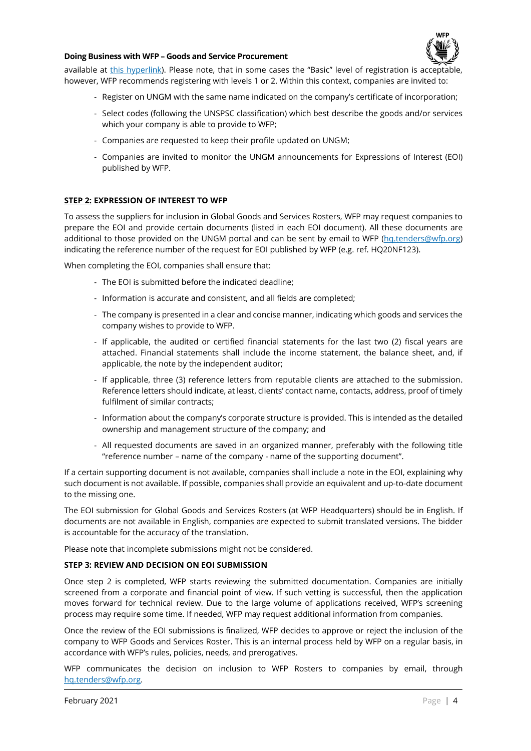

#### **Doing Business with WFP – Goods and Service Procurement**

available at this hyperlink). Please note, that in some cases the "Basic" level of registration is acceptable, however, WFP recommends registering with levels 1 or 2. Within this context, companies are invited to:

- Register on UNGM with the same name indicated on the company's certificate of incorporation;
- Select codes (following the UNSPSC classification) which best describe the goods and/or services which your company is able to provide to WFP;
- Companies are requested to keep their profile updated on UNGM;
- Companies are invited to monitor the UNGM announcements for Expressions of Interest (EOI) published by WFP.

#### **STEP 2: EXPRESSION OF INTEREST TO WFP**

To assess the suppliers for inclusion in Global Goods and Services Rosters, WFP may request companies to prepare the EOI and provide certain documents (listed in each EOI document). All these documents are additional to those provided on the UNGM portal and can be sent by email to WFP (hq.tenders@wfp.org) indicating the reference number of the request for EOI published by WFP (e.g. ref. HQ20NF123).

When completing the EOI, companies shall ensure that:

- The EOI is submitted before the indicated deadline;
- Information is accurate and consistent, and all fields are completed;
- The company is presented in a clear and concise manner, indicating which goods and services the company wishes to provide to WFP.
- If applicable, the audited or certified financial statements for the last two (2) fiscal years are attached. Financial statements shall include the income statement, the balance sheet, and, if applicable, the note by the independent auditor;
- If applicable, three (3) reference letters from reputable clients are attached to the submission. Reference letters should indicate, at least, clients' contact name, contacts, address, proof of timely fulfilment of similar contracts;
- Information about the company's corporate structure is provided. This is intended as the detailed ownership and management structure of the company; and
- All requested documents are saved in an organized manner, preferably with the following title "reference number – name of the company - name of the supporting document".

If a certain supporting document is not available, companies shall include a note in the EOI, explaining why such document is not available. If possible, companies shall provide an equivalent and up-to-date document to the missing one.

The EOI submission for Global Goods and Services Rosters (at WFP Headquarters) should be in English. If documents are not available in English, companies are expected to submit translated versions. The bidder is accountable for the accuracy of the translation.

Please note that incomplete submissions might not be considered.

#### **STEP 3: REVIEW AND DECISION ON EOI SUBMISSION**

Once step 2 is completed, WFP starts reviewing the submitted documentation. Companies are initially screened from a corporate and financial point of view. If such vetting is successful, then the application moves forward for technical review. Due to the large volume of applications received, WFP's screening process may require some time. If needed, WFP may request additional information from companies.

Once the review of the EOI submissions is finalized, WFP decides to approve or reject the inclusion of the company to WFP Goods and Services Roster. This is an internal process held by WFP on a regular basis, in accordance with WFP's rules, policies, needs, and prerogatives.

WFP communicates the decision on inclusion to WFP Rosters to companies by email, through hq.tenders@wfp.org.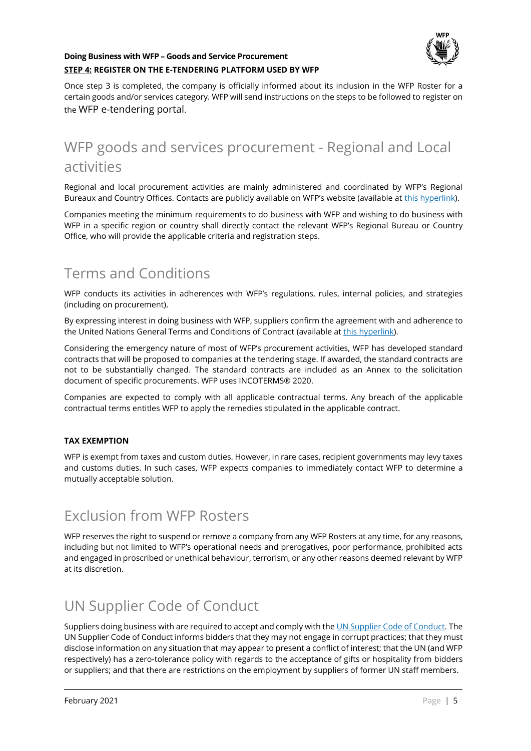

### **Doing Business with WFP – Goods and Service Procurement STEP 4: REGISTER ON THE E-TENDERING PLATFORM USED BY WFP**

Once step 3 is completed, the company is officially informed about its inclusion in the WFP Roster for a certain goods and/or services category. WFP will send instructions on the steps to be followed to register on the WFP e-tendering portal.

# WFP goods and services procurement - Regional and Local activities

Regional and local procurement activities are mainly administered and coordinated by WFP's Regional Bureaux and Country Offices. Contacts are publicly available on WFP's website (available at this hyperlink).

Companies meeting the minimum requirements to do business with WFP and wishing to do business with WFP in a specific region or country shall directly contact the relevant WFP's Regional Bureau or Country Office, who will provide the applicable criteria and registration steps.

### Terms and Conditions

WFP conducts its activities in adherences with WFP's regulations, rules, internal policies, and strategies (including on procurement).

By expressing interest in doing business with WFP, suppliers confirm the agreement with and adherence to the United Nations General Terms and Conditions of Contract (available at this hyperlink).

Considering the emergency nature of most of WFP's procurement activities, WFP has developed standard contracts that will be proposed to companies at the tendering stage. If awarded, the standard contracts are not to be substantially changed. The standard contracts are included as an Annex to the solicitation document of specific procurements. WFP uses INCOTERMS® 2020.

Companies are expected to comply with all applicable contractual terms. Any breach of the applicable contractual terms entitles WFP to apply the remedies stipulated in the applicable contract.

### **TAX EXEMPTION**

WFP is exempt from taxes and custom duties. However, in rare cases, recipient governments may levy taxes and customs duties. In such cases, WFP expects companies to immediately contact WFP to determine a mutually acceptable solution.

### Exclusion from WFP Rosters

WFP reserves the right to suspend or remove a company from any WFP Rosters at any time, for any reasons, including but not limited to WFP's operational needs and prerogatives, poor performance, prohibited acts and engaged in proscribed or unethical behaviour, terrorism, or any other reasons deemed relevant by WFP at its discretion.

### UN Supplier Code of Conduct

Suppliers doing business with are required to accept and comply with the UN Supplier Code of Conduct. The UN Supplier Code of Conduct informs bidders that they may not engage in corrupt practices; that they must disclose information on any situation that may appear to present a conflict of interest; that the UN (and WFP respectively) has a zero-tolerance policy with regards to the acceptance of gifts or hospitality from bidders or suppliers; and that there are restrictions on the employment by suppliers of former UN staff members.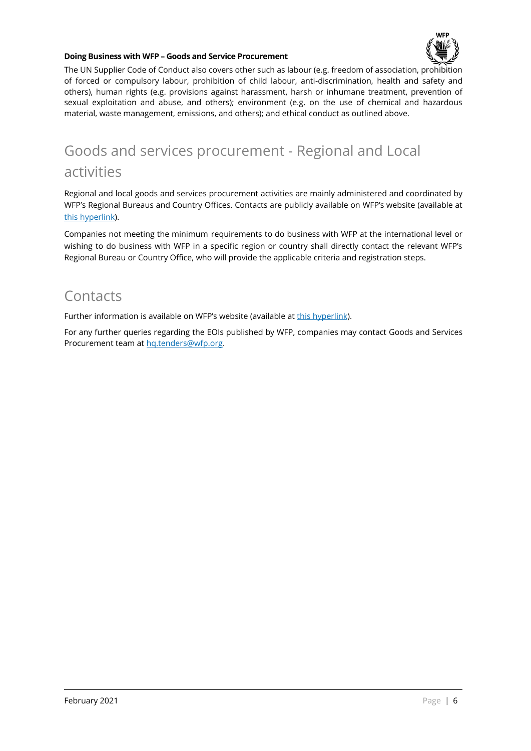

#### **Doing Business with WFP – Goods and Service Procurement**

The UN Supplier Code of Conduct also covers other such as labour (e.g. freedom of association, prohibition of forced or compulsory labour, prohibition of child labour, anti-discrimination, health and safety and others), human rights (e.g. provisions against harassment, harsh or inhumane treatment, prevention of sexual exploitation and abuse, and others); environment (e.g. on the use of chemical and hazardous material, waste management, emissions, and others); and ethical conduct as outlined above.

## Goods and services procurement - Regional and Local activities

Regional and local goods and services procurement activities are mainly administered and coordinated by WFP's Regional Bureaus and Country Offices. Contacts are publicly available on WFP's website (available at this hyperlink).

Companies not meeting the minimum requirements to do business with WFP at the international level or wishing to do business with WFP in a specific region or country shall directly contact the relevant WFP's Regional Bureau or Country Office, who will provide the applicable criteria and registration steps.

### **Contacts**

Further information is available on WFP's website (available at this hyperlink).

For any further queries regarding the EOIs published by WFP, companies may contact Goods and Services Procurement team at hq.tenders@wfp.org.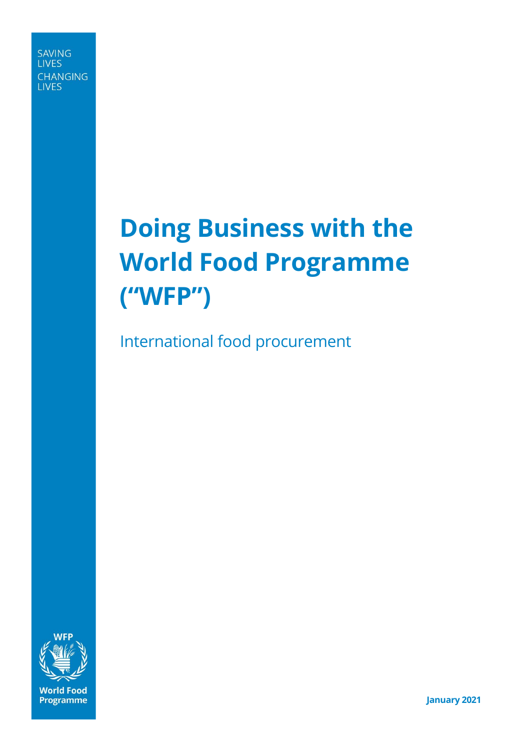**SAVING LIVES CHANGING LIVES** 

# **Doing Business with the World Food Programme ("WFP")**

International food procurement



**January 2021**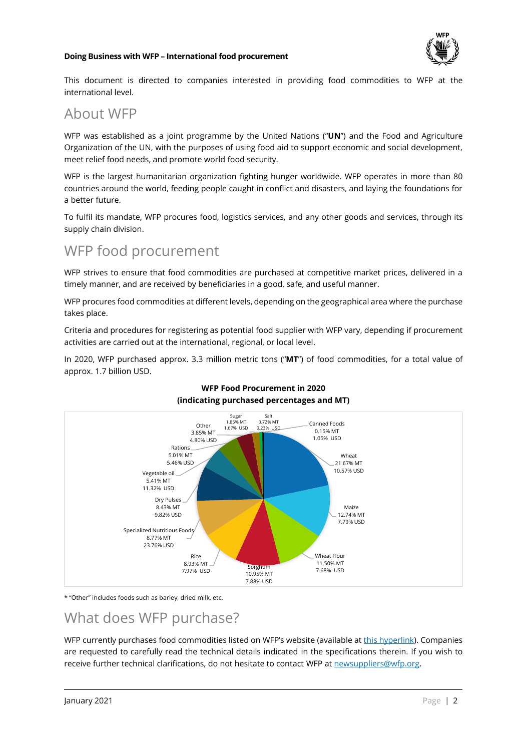

This document is directed to companies interested in providing food commodities to WFP at the international level.

### About WFP

WFP was established as a joint programme by the United Nations ("**UN**") and the Food and Agriculture Organization of the UN, with the purposes of using food aid to support economic and social development, meet relief food needs, and promote world food security.

WFP is the largest humanitarian organization fighting hunger worldwide. WFP operates in more than 80 countries around the world, feeding people caught in conflict and disasters, and laying the foundations for a better future.

To fulfil its mandate, WFP procures food, logistics services, and any other goods and services, through its supply chain division.

## WFP food procurement

WFP strives to ensure that food commodities are purchased at competitive market prices, delivered in a timely manner, and are received by beneficiaries in a good, safe, and useful manner.

WFP procures food commodities at different levels, depending on the geographical area where the purchase takes place.

Criteria and procedures for registering as potential food supplier with WFP vary, depending if procurement activities are carried out at the international, regional, or local level.

In 2020, WFP purchased approx. 3.3 million metric tons ("**MT**") of food commodities, for a total value of approx. 1.7 billion USD.



### **WFP Food Procurement in 2020 (indicating purchased percentages and MT)**

\* "Other" includes foods such as barley, dried milk, etc.

### What does WFP purchase?

WFP currently purchases food commodities listed on WFP's website (available at this hyperlink). Companies are requested to carefully read the technical details indicated in the specifications therein. If you wish to receive further technical clarifications, do not hesitate to contact WFP at newsuppliers@wfp.org.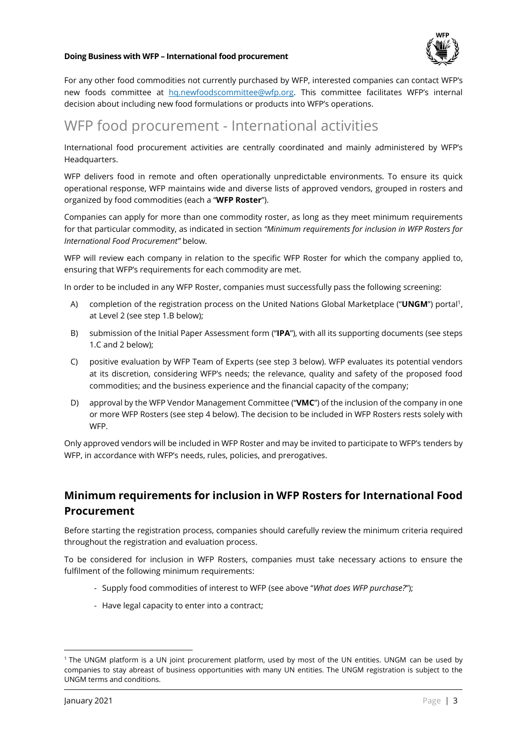

For any other food commodities not currently purchased by WFP, interested companies can contact WFP's new foods committee at hq.newfoodscommittee@wfp.org. This committee facilitates WFP's internal decision about including new food formulations or products into WFP's operations.

### WFP food procurement - International activities

International food procurement activities are centrally coordinated and mainly administered by WFP's Headquarters.

WFP delivers food in remote and often operationally unpredictable environments. To ensure its quick operational response, WFP maintains wide and diverse lists of approved vendors, grouped in rosters and organized by food commodities (each a "**WFP Roster**").

Companies can apply for more than one commodity roster, as long as they meet minimum requirements for that particular commodity, as indicated in section *"Minimum requirements for inclusion in WFP Rosters for International Food Procurement"* below.

WFP will review each company in relation to the specific WFP Roster for which the company applied to, ensuring that WFP's requirements for each commodity are met.

In order to be included in any WFP Roster, companies must successfully pass the following screening:

- A) completion of the registration process on the United Nations Global Marketplace ("UNGM") portal<sup>1</sup>, at Level 2 (see step 1.B below);
- B) submission of the Initial Paper Assessment form ("**IPA**"), with all its supporting documents (see steps 1.C and 2 below);
- C) positive evaluation by WFP Team of Experts (see step 3 below). WFP evaluates its potential vendors at its discretion, considering WFP's needs; the relevance, quality and safety of the proposed food commodities; and the business experience and the financial capacity of the company;
- D) approval by the WFP Vendor Management Committee ("**VMC**") of the inclusion of the company in one or more WFP Rosters (see step 4 below). The decision to be included in WFP Rosters rests solely with **WFP**

Only approved vendors will be included in WFP Roster and may be invited to participate to WFP's tenders by WFP, in accordance with WFP's needs, rules, policies, and prerogatives.

### **Minimum requirements for inclusion in WFP Rosters for International Food Procurement**

Before starting the registration process, companies should carefully review the minimum criteria required throughout the registration and evaluation process.

To be considered for inclusion in WFP Rosters, companies must take necessary actions to ensure the fulfilment of the following minimum requirements:

- Supply food commodities of interest to WFP (see above "*What does WFP purchase?*");
- Have legal capacity to enter into a contract;

<sup>1</sup> The UNGM platform is a UN joint procurement platform, used by most of the UN entities. UNGM can be used by companies to stay abreast of business opportunities with many UN entities. The UNGM registration is subject to the UNGM terms and conditions.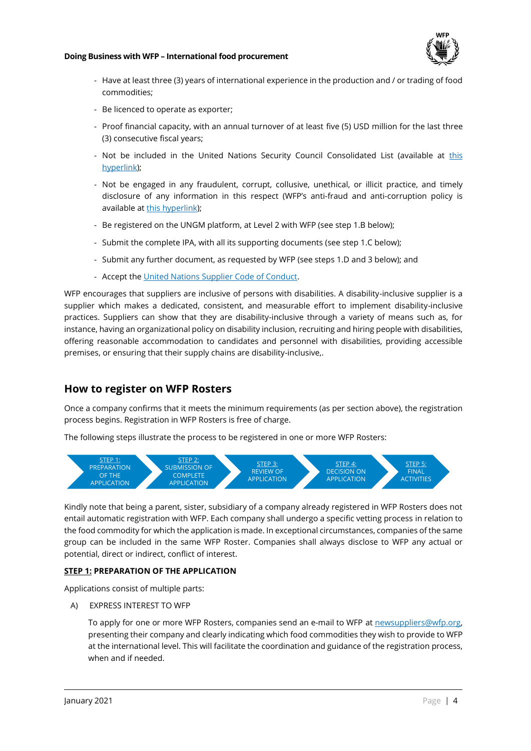

- Have at least three (3) years of international experience in the production and / or trading of food commodities;
- Be licenced to operate as exporter;
- Proof financial capacity, with an annual turnover of at least five (5) USD million for the last three (3) consecutive fiscal years;
- Not be included in the United Nations Security Council Consolidated List (available at this hyperlink);
- Not be engaged in any fraudulent, corrupt, collusive, unethical, or illicit practice, and timely disclosure of any information in this respect (WFP's anti-fraud and anti-corruption policy is available at this hyperlink);
- Be registered on the UNGM platform, at Level 2 with WFP (see step 1.B below);
- Submit the complete IPA, with all its supporting documents (see step 1.C below);
- Submit any further document, as requested by WFP (see steps 1.D and 3 below); and
- Accept the United Nations Supplier Code of Conduct.

WFP encourages that suppliers are inclusive of persons with disabilities. A disability-inclusive supplier is a supplier which makes a dedicated, consistent, and measurable effort to implement disability-inclusive practices. Suppliers can show that they are disability-inclusive through a variety of means such as, for instance, having an organizational policy on disability inclusion, recruiting and hiring people with disabilities, offering reasonable accommodation to candidates and personnel with disabilities, providing accessible premises, or ensuring that their supply chains are disability-inclusive,.

### **How to register on WFP Rosters**

Once a company confirms that it meets the minimum requirements (as per section above), the registration process begins. Registration in WFP Rosters is free of charge.

The following steps illustrate the process to be registered in one or more WFP Rosters:



Kindly note that being a parent, sister, subsidiary of a company already registered in WFP Rosters does not entail automatic registration with WFP. Each company shall undergo a specific vetting process in relation to the food commodity for which the application is made. In exceptional circumstances, companies of the same group can be included in the same WFP Roster. Companies shall always disclose to WFP any actual or potential, direct or indirect, conflict of interest.

### **STEP 1: PREPARATION OF THE APPLICATION**

Applications consist of multiple parts:

A) EXPRESS INTEREST TO WFP

To apply for one or more WFP Rosters, companies send an e-mail to WFP at newsuppliers@wfp.org, presenting their company and clearly indicating which food commodities they wish to provide to WFP at the international level. This will facilitate the coordination and guidance of the registration process, when and if needed.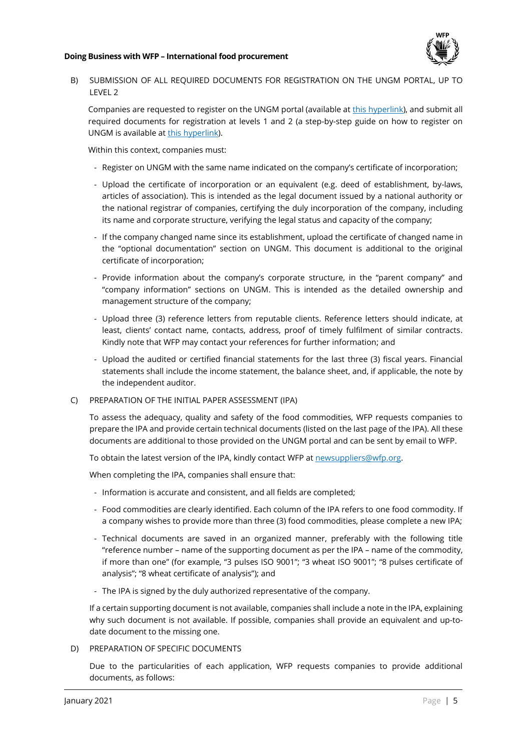

B) SUBMISSION OF ALL REQUIRED DOCUMENTS FOR REGISTRATION ON THE UNGM PORTAL, UP TO LEVEL 2

Companies are requested to register on the UNGM portal (available at this hyperlink), and submit all required documents for registration at levels 1 and 2 (a step-by-step guide on how to register on UNGM is available at this hyperlink).

Within this context, companies must:

- Register on UNGM with the same name indicated on the company's certificate of incorporation;
- Upload the certificate of incorporation or an equivalent (e.g. deed of establishment, by-laws, articles of association). This is intended as the legal document issued by a national authority or the national registrar of companies, certifying the duly incorporation of the company, including its name and corporate structure, verifying the legal status and capacity of the company;
- If the company changed name since its establishment, upload the certificate of changed name in the "optional documentation" section on UNGM. This document is additional to the original certificate of incorporation;
- Provide information about the company's corporate structure, in the "parent company" and "company information" sections on UNGM. This is intended as the detailed ownership and management structure of the company;
- Upload three (3) reference letters from reputable clients. Reference letters should indicate, at least, clients' contact name, contacts, address, proof of timely fulfilment of similar contracts. Kindly note that WFP may contact your references for further information; and
- Upload the audited or certified financial statements for the last three (3) fiscal years. Financial statements shall include the income statement, the balance sheet, and, if applicable, the note by the independent auditor.
- C) PREPARATION OF THE INITIAL PAPER ASSESSMENT (IPA)

To assess the adequacy, quality and safety of the food commodities, WFP requests companies to prepare the IPA and provide certain technical documents (listed on the last page of the IPA). All these documents are additional to those provided on the UNGM portal and can be sent by email to WFP.

To obtain the latest version of the IPA, kindly contact WFP at newsuppliers@wfp.org.

When completing the IPA, companies shall ensure that:

- Information is accurate and consistent, and all fields are completed;
- Food commodities are clearly identified. Each column of the IPA refers to one food commodity. If a company wishes to provide more than three (3) food commodities, please complete a new IPA;
- Technical documents are saved in an organized manner, preferably with the following title "reference number – name of the supporting document as per the IPA – name of the commodity, if more than one" (for example, "3 pulses ISO 9001"; "3 wheat ISO 9001"; "8 pulses certificate of analysis"; "8 wheat certificate of analysis"); and
- The IPA is signed by the duly authorized representative of the company.

If a certain supporting document is not available, companies shall include a note in the IPA, explaining why such document is not available. If possible, companies shall provide an equivalent and up-todate document to the missing one.

D) PREPARATION OF SPECIFIC DOCUMENTS

Due to the particularities of each application, WFP requests companies to provide additional documents, as follows: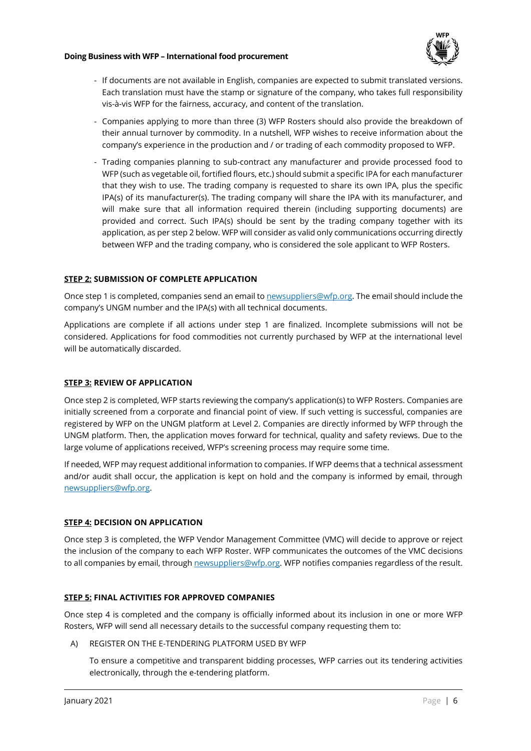

- If documents are not available in English, companies are expected to submit translated versions. Each translation must have the stamp or signature of the company, who takes full responsibility vis-à-vis WFP for the fairness, accuracy, and content of the translation.
- Companies applying to more than three (3) WFP Rosters should also provide the breakdown of their annual turnover by commodity. In a nutshell, WFP wishes to receive information about the company's experience in the production and / or trading of each commodity proposed to WFP.
- Trading companies planning to sub-contract any manufacturer and provide processed food to WFP (such as vegetable oil, fortified flours, etc.) should submit a specific IPA for each manufacturer that they wish to use. The trading company is requested to share its own IPA, plus the specific IPA(s) of its manufacturer(s). The trading company will share the IPA with its manufacturer, and will make sure that all information required therein (including supporting documents) are provided and correct. Such IPA(s) should be sent by the trading company together with its application, as per step 2 below. WFP will consider as valid only communications occurring directly between WFP and the trading company, who is considered the sole applicant to WFP Rosters.

### **STEP 2: SUBMISSION OF COMPLETE APPLICATION**

Once step 1 is completed, companies send an email to newsuppliers@wfp.org. The email should include the company's UNGM number and the IPA(s) with all technical documents.

Applications are complete if all actions under step 1 are finalized. Incomplete submissions will not be considered. Applications for food commodities not currently purchased by WFP at the international level will be automatically discarded.

### **STEP 3: REVIEW OF APPLICATION**

Once step 2 is completed, WFP starts reviewing the company's application(s) to WFP Rosters. Companies are initially screened from a corporate and financial point of view. If such vetting is successful, companies are registered by WFP on the UNGM platform at Level 2. Companies are directly informed by WFP through the UNGM platform. Then, the application moves forward for technical, quality and safety reviews. Due to the large volume of applications received, WFP's screening process may require some time.

If needed, WFP may request additional information to companies. If WFP deems that a technical assessment and/or audit shall occur, the application is kept on hold and the company is informed by email, through newsuppliers@wfp.org.

### **STEP 4: DECISION ON APPLICATION**

Once step 3 is completed, the WFP Vendor Management Committee (VMC) will decide to approve or reject the inclusion of the company to each WFP Roster. WFP communicates the outcomes of the VMC decisions to all companies by email, through newsuppliers@wfp.org. WFP notifies companies regardless of the result.

### **STEP 5: FINAL ACTIVITIES FOR APPROVED COMPANIES**

Once step 4 is completed and the company is officially informed about its inclusion in one or more WFP Rosters, WFP will send all necessary details to the successful company requesting them to:

A) REGISTER ON THE E-TENDERING PLATFORM USED BY WFP

To ensure a competitive and transparent bidding processes, WFP carries out its tendering activities electronically, through the e-tendering platform.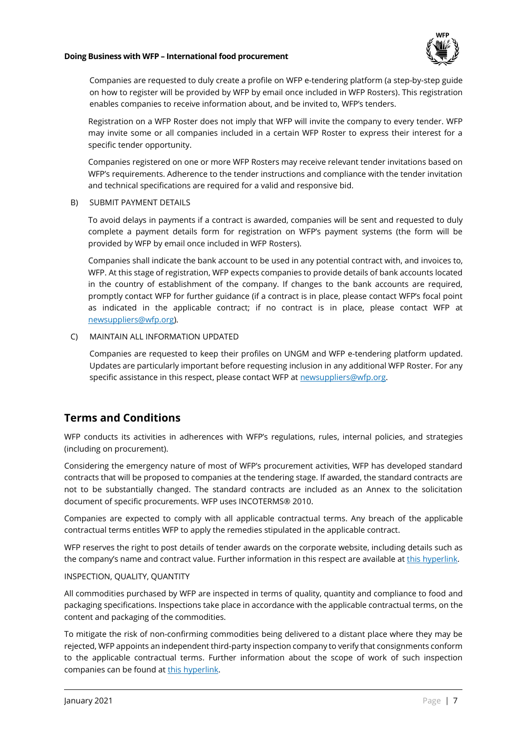

Companies are requested to duly create a profile on WFP e-tendering platform (a step-by-step guide on how to register will be provided by WFP by email once included in WFP Rosters). This registration enables companies to receive information about, and be invited to, WFP's tenders.

Registration on a WFP Roster does not imply that WFP will invite the company to every tender. WFP may invite some or all companies included in a certain WFP Roster to express their interest for a specific tender opportunity.

Companies registered on one or more WFP Rosters may receive relevant tender invitations based on WFP's requirements. Adherence to the tender instructions and compliance with the tender invitation and technical specifications are required for a valid and responsive bid.

B) SUBMIT PAYMENT DETAILS

To avoid delays in payments if a contract is awarded, companies will be sent and requested to duly complete a payment details form for registration on WFP's payment systems (the form will be provided by WFP by email once included in WFP Rosters).

Companies shall indicate the bank account to be used in any potential contract with, and invoices to, WFP. At this stage of registration, WFP expects companies to provide details of bank accounts located in the country of establishment of the company. If changes to the bank accounts are required, promptly contact WFP for further guidance (if a contract is in place, please contact WFP's focal point as indicated in the applicable contract; if no contract is in place, please contact WFP at newsuppliers@wfp.org).

### C) MAINTAIN ALL INFORMATION UPDATED

Companies are requested to keep their profiles on UNGM and WFP e-tendering platform updated. Updates are particularly important before requesting inclusion in any additional WFP Roster. For any specific assistance in this respect, please contact WFP at newsuppliers@wfp.org.

### **Terms and Conditions**

WFP conducts its activities in adherences with WFP's regulations, rules, internal policies, and strategies (including on procurement).

Considering the emergency nature of most of WFP's procurement activities, WFP has developed standard contracts that will be proposed to companies at the tendering stage. If awarded, the standard contracts are not to be substantially changed. The standard contracts are included as an Annex to the solicitation document of specific procurements. WFP uses INCOTERMS® 2010.

Companies are expected to comply with all applicable contractual terms. Any breach of the applicable contractual terms entitles WFP to apply the remedies stipulated in the applicable contract.

WFP reserves the right to post details of tender awards on the corporate website, including details such as the company's name and contract value. Further information in this respect are available at this hyperlink.

### INSPECTION, QUALITY, QUANTITY

All commodities purchased by WFP are inspected in terms of quality, quantity and compliance to food and packaging specifications. Inspections take place in accordance with the applicable contractual terms, on the content and packaging of the commodities.

To mitigate the risk of non-confirming commodities being delivered to a distant place where they may be rejected, WFP appoints an independent third-party inspection company to verify that consignments conform to the applicable contractual terms. Further information about the scope of work of such inspection companies can be found at this hyperlink.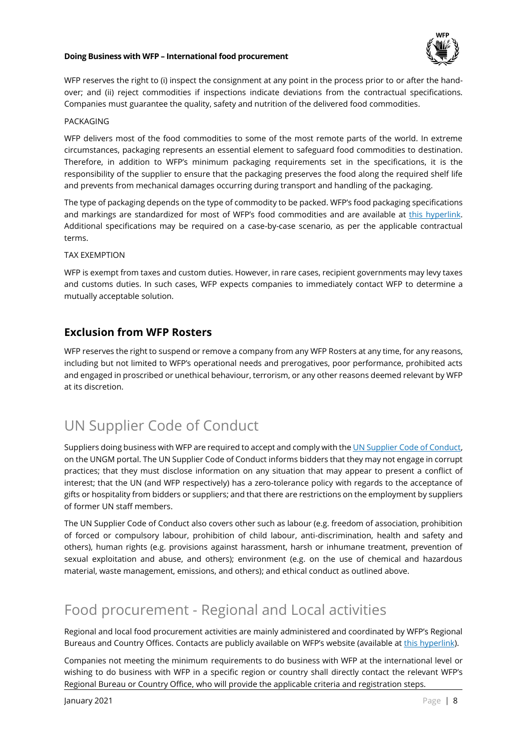

WFP reserves the right to (i) inspect the consignment at any point in the process prior to or after the handover; and (ii) reject commodities if inspections indicate deviations from the contractual specifications. Companies must guarantee the quality, safety and nutrition of the delivered food commodities.

#### PACKAGING

WFP delivers most of the food commodities to some of the most remote parts of the world. In extreme circumstances, packaging represents an essential element to safeguard food commodities to destination. Therefore, in addition to WFP's minimum packaging requirements set in the specifications, it is the responsibility of the supplier to ensure that the packaging preserves the food along the required shelf life and prevents from mechanical damages occurring during transport and handling of the packaging.

The type of packaging depends on the type of commodity to be packed. WFP's food packaging specifications and markings are standardized for most of WFP's food commodities and are available at this hyperlink. Additional specifications may be required on a case-by-case scenario, as per the applicable contractual terms.

#### TAX EXEMPTION

WFP is exempt from taxes and custom duties. However, in rare cases, recipient governments may levy taxes and customs duties. In such cases, WFP expects companies to immediately contact WFP to determine a mutually acceptable solution.

### **Exclusion from WFP Rosters**

WFP reserves the right to suspend or remove a company from any WFP Rosters at any time, for any reasons, including but not limited to WFP's operational needs and prerogatives, poor performance, prohibited acts and engaged in proscribed or unethical behaviour, terrorism, or any other reasons deemed relevant by WFP at its discretion.

# UN Supplier Code of Conduct

Suppliers doing business with WFP are required to accept and comply with the UN Supplier Code of Conduct, on the UNGM portal. The UN Supplier Code of Conduct informs bidders that they may not engage in corrupt practices; that they must disclose information on any situation that may appear to present a conflict of interest; that the UN (and WFP respectively) has a zero-tolerance policy with regards to the acceptance of gifts or hospitality from bidders or suppliers; and that there are restrictions on the employment by suppliers of former UN staff members.

The UN Supplier Code of Conduct also covers other such as labour (e.g. freedom of association, prohibition of forced or compulsory labour, prohibition of child labour, anti-discrimination, health and safety and others), human rights (e.g. provisions against harassment, harsh or inhumane treatment, prevention of sexual exploitation and abuse, and others); environment (e.g. on the use of chemical and hazardous material, waste management, emissions, and others); and ethical conduct as outlined above.

## Food procurement - Regional and Local activities

Regional and local food procurement activities are mainly administered and coordinated by WFP's Regional Bureaus and Country Offices. Contacts are publicly available on WFP's website (available at this hyperlink).

Companies not meeting the minimum requirements to do business with WFP at the international level or wishing to do business with WFP in a specific region or country shall directly contact the relevant WFP's Regional Bureau or Country Office, who will provide the applicable criteria and registration steps.